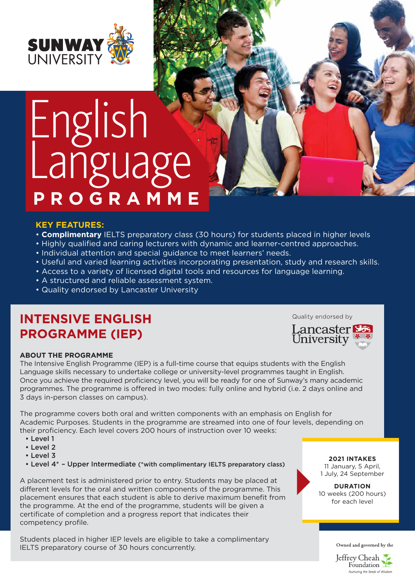

# English Language **PROGRAMME**

#### **KEY FEATURES:**

- **Complimentary** IELTS preparatory class (30 hours) for students placed in higher levels
- Highly qualified and caring lecturers with dynamic and learner-centred approaches.
- Individual attention and special guidance to meet learners' needs.
- Useful and varied learning activities incorporating presentation, study and research skills.
- Access to a variety of licensed digital tools and resources for language learning.
- A structured and reliable assessment system.
- Quality endorsed by Lancaster University

## **INTENSIVE ENGLISH PROGRAMME (IEP)**

#### **ABOUT THE PROGRAMME**

The Intensive English Programme (IEP) is a full-time course that equips students with the English Language skills necessary to undertake college or university-level programmes taught in English. Once you achieve the required proficiency level, you will be ready for one of Sunway's many academic programmes. The programme is offered in two modes: fully online and hybrid (i.e. 2 days online and 3 days in-person classes on campus).

The programme covers both oral and written components with an emphasis on English for Academic Purposes. Students in the programme are streamed into one of four levels, depending on their proficiency. Each level covers 200 hours of instruction over 10 weeks:

- Level 1
- Level 2
- Level 3
- Level 4\* Upper Intermediate (\*with complimentary IELTS preparatory class)

A placement test is administered prior to entry. Students may be placed at different levels for the oral and written components of the programme. This placement ensures that each student is able to derive maximum benefit from the programme. At the end of the programme, students will be given a certificate of completion and a progress report that indicates their competency profile.

Students placed in higher IEP levels are eligible to take a complimentary IELTS preparatory course of 30 hours concurrently.

Quality endorsed by



**2021 INTAKES** 11 January, 5 April, 1 July, 24 September

**DURATION** 10 weeks (200 hours) for each level

Owned and governed by the